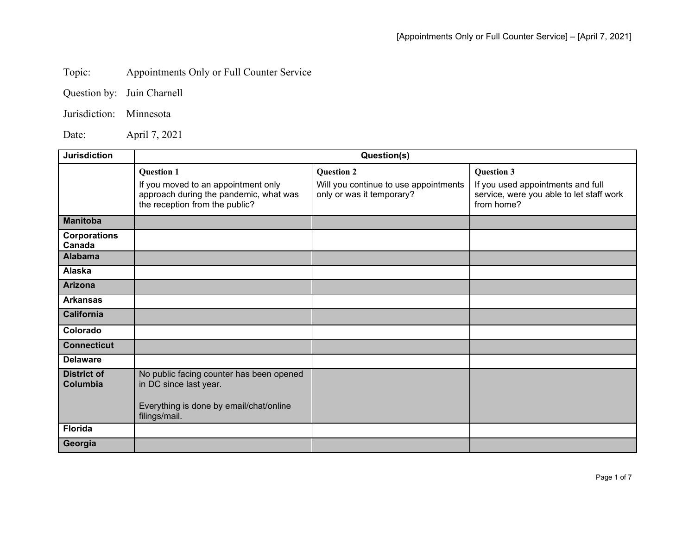## Topic: Appointments Only or Full Counter Service

Jurisdiction: Minnesota

Date: April 7, 2021

| <b>Jurisdiction</b>            | Question(s)                                                                                                                          |                                                                                         |                                                                                                                  |
|--------------------------------|--------------------------------------------------------------------------------------------------------------------------------------|-----------------------------------------------------------------------------------------|------------------------------------------------------------------------------------------------------------------|
|                                | <b>Question 1</b><br>If you moved to an appointment only<br>approach during the pandemic, what was<br>the reception from the public? | <b>Question 2</b><br>Will you continue to use appointments<br>only or was it temporary? | <b>Question 3</b><br>If you used appointments and full<br>service, were you able to let staff work<br>from home? |
| <b>Manitoba</b>                |                                                                                                                                      |                                                                                         |                                                                                                                  |
| <b>Corporations</b><br>Canada  |                                                                                                                                      |                                                                                         |                                                                                                                  |
| <b>Alabama</b>                 |                                                                                                                                      |                                                                                         |                                                                                                                  |
| Alaska                         |                                                                                                                                      |                                                                                         |                                                                                                                  |
| <b>Arizona</b>                 |                                                                                                                                      |                                                                                         |                                                                                                                  |
| <b>Arkansas</b>                |                                                                                                                                      |                                                                                         |                                                                                                                  |
| <b>California</b>              |                                                                                                                                      |                                                                                         |                                                                                                                  |
| Colorado                       |                                                                                                                                      |                                                                                         |                                                                                                                  |
| <b>Connecticut</b>             |                                                                                                                                      |                                                                                         |                                                                                                                  |
| <b>Delaware</b>                |                                                                                                                                      |                                                                                         |                                                                                                                  |
| <b>District of</b><br>Columbia | No public facing counter has been opened<br>in DC since last year.<br>Everything is done by email/chat/online<br>filings/mail.       |                                                                                         |                                                                                                                  |
| <b>Florida</b>                 |                                                                                                                                      |                                                                                         |                                                                                                                  |
| Georgia                        |                                                                                                                                      |                                                                                         |                                                                                                                  |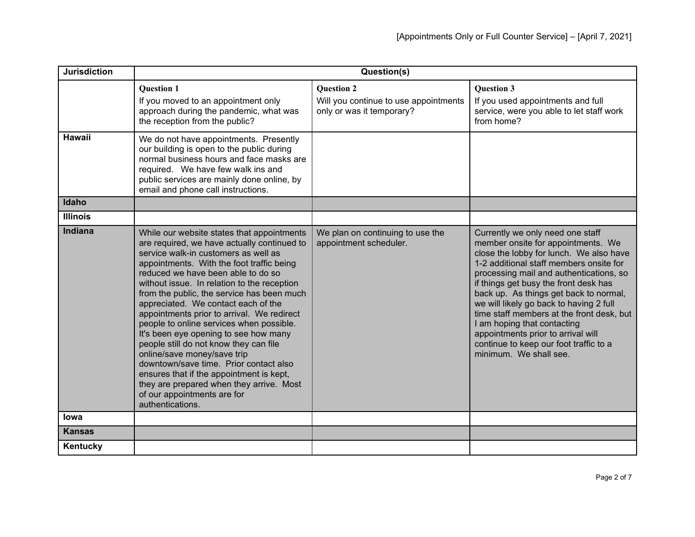| <b>Jurisdiction</b> | Question(s)                                                                                                                                                                                                                                                                                                                                                                                                                                                                                                                                                                                                                                                                                                                                               |                                                                                         |                                                                                                                                                                                                                                                                                                                                                                                                                                                                                                                             |
|---------------------|-----------------------------------------------------------------------------------------------------------------------------------------------------------------------------------------------------------------------------------------------------------------------------------------------------------------------------------------------------------------------------------------------------------------------------------------------------------------------------------------------------------------------------------------------------------------------------------------------------------------------------------------------------------------------------------------------------------------------------------------------------------|-----------------------------------------------------------------------------------------|-----------------------------------------------------------------------------------------------------------------------------------------------------------------------------------------------------------------------------------------------------------------------------------------------------------------------------------------------------------------------------------------------------------------------------------------------------------------------------------------------------------------------------|
|                     | <b>Question 1</b><br>If you moved to an appointment only<br>approach during the pandemic, what was<br>the reception from the public?                                                                                                                                                                                                                                                                                                                                                                                                                                                                                                                                                                                                                      | <b>Question 2</b><br>Will you continue to use appointments<br>only or was it temporary? | <b>Question 3</b><br>If you used appointments and full<br>service, were you able to let staff work<br>from home?                                                                                                                                                                                                                                                                                                                                                                                                            |
| <b>Hawaii</b>       | We do not have appointments. Presently<br>our building is open to the public during<br>normal business hours and face masks are<br>required. We have few walk ins and<br>public services are mainly done online, by<br>email and phone call instructions.                                                                                                                                                                                                                                                                                                                                                                                                                                                                                                 |                                                                                         |                                                                                                                                                                                                                                                                                                                                                                                                                                                                                                                             |
| Idaho               |                                                                                                                                                                                                                                                                                                                                                                                                                                                                                                                                                                                                                                                                                                                                                           |                                                                                         |                                                                                                                                                                                                                                                                                                                                                                                                                                                                                                                             |
| <b>Illinois</b>     |                                                                                                                                                                                                                                                                                                                                                                                                                                                                                                                                                                                                                                                                                                                                                           |                                                                                         |                                                                                                                                                                                                                                                                                                                                                                                                                                                                                                                             |
| <b>Indiana</b>      | While our website states that appointments<br>are required, we have actually continued to<br>service walk-in customers as well as<br>appointments. With the foot traffic being<br>reduced we have been able to do so<br>without issue. In relation to the reception<br>from the public, the service has been much<br>appreciated. We contact each of the<br>appointments prior to arrival. We redirect<br>people to online services when possible.<br>It's been eye opening to see how many<br>people still do not know they can file<br>online/save money/save trip<br>downtown/save time. Prior contact also<br>ensures that if the appointment is kept,<br>they are prepared when they arrive. Most<br>of our appointments are for<br>authentications. | We plan on continuing to use the<br>appointment scheduler.                              | Currently we only need one staff<br>member onsite for appointments. We<br>close the lobby for lunch. We also have<br>1-2 additional staff members onsite for<br>processing mail and authentications, so<br>if things get busy the front desk has<br>back up. As things get back to normal,<br>we will likely go back to having 2 full<br>time staff members at the front desk, but<br>I am hoping that contacting<br>appointments prior to arrival will<br>continue to keep our foot traffic to a<br>minimum. We shall see. |
| <b>lowa</b>         |                                                                                                                                                                                                                                                                                                                                                                                                                                                                                                                                                                                                                                                                                                                                                           |                                                                                         |                                                                                                                                                                                                                                                                                                                                                                                                                                                                                                                             |
| <b>Kansas</b>       |                                                                                                                                                                                                                                                                                                                                                                                                                                                                                                                                                                                                                                                                                                                                                           |                                                                                         |                                                                                                                                                                                                                                                                                                                                                                                                                                                                                                                             |
| Kentucky            |                                                                                                                                                                                                                                                                                                                                                                                                                                                                                                                                                                                                                                                                                                                                                           |                                                                                         |                                                                                                                                                                                                                                                                                                                                                                                                                                                                                                                             |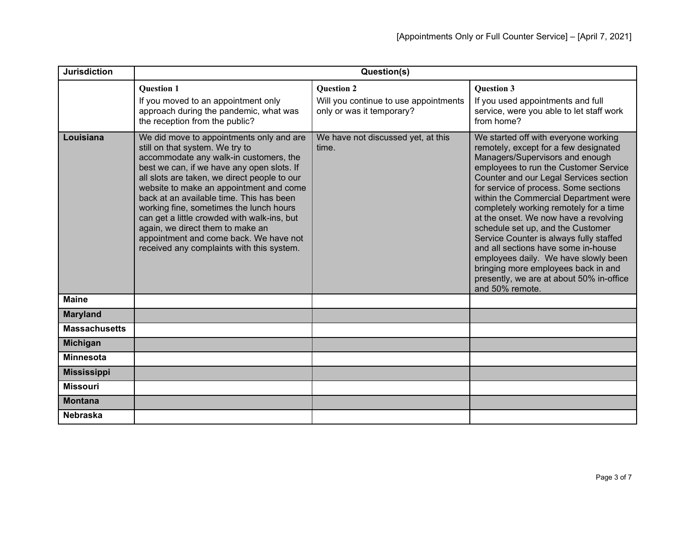| <b>Jurisdiction</b>  | Question(s)                                                                                                                                                                                                                                                                                                                                                                                                                                                                                                                     |                                                                                         |                                                                                                                                                                                                                                                                                                                                                                                                                                                                                                                                                                                                                                               |
|----------------------|---------------------------------------------------------------------------------------------------------------------------------------------------------------------------------------------------------------------------------------------------------------------------------------------------------------------------------------------------------------------------------------------------------------------------------------------------------------------------------------------------------------------------------|-----------------------------------------------------------------------------------------|-----------------------------------------------------------------------------------------------------------------------------------------------------------------------------------------------------------------------------------------------------------------------------------------------------------------------------------------------------------------------------------------------------------------------------------------------------------------------------------------------------------------------------------------------------------------------------------------------------------------------------------------------|
|                      | <b>Ouestion 1</b><br>If you moved to an appointment only<br>approach during the pandemic, what was<br>the reception from the public?                                                                                                                                                                                                                                                                                                                                                                                            | <b>Ouestion 2</b><br>Will you continue to use appointments<br>only or was it temporary? | <b>Ouestion 3</b><br>If you used appointments and full<br>service, were you able to let staff work<br>from home?                                                                                                                                                                                                                                                                                                                                                                                                                                                                                                                              |
| Louisiana            | We did move to appointments only and are<br>still on that system. We try to<br>accommodate any walk-in customers, the<br>best we can, if we have any open slots. If<br>all slots are taken, we direct people to our<br>website to make an appointment and come<br>back at an available time. This has been<br>working fine, sometimes the lunch hours<br>can get a little crowded with walk-ins, but<br>again, we direct them to make an<br>appointment and come back. We have not<br>received any complaints with this system. | We have not discussed yet, at this<br>time.                                             | We started off with everyone working<br>remotely, except for a few designated<br>Managers/Supervisors and enough<br>employees to run the Customer Service<br>Counter and our Legal Services section<br>for service of process. Some sections<br>within the Commercial Department were<br>completely working remotely for a time<br>at the onset. We now have a revolving<br>schedule set up, and the Customer<br>Service Counter is always fully staffed<br>and all sections have some in-house<br>employees daily. We have slowly been<br>bringing more employees back in and<br>presently, we are at about 50% in-office<br>and 50% remote. |
| <b>Maine</b>         |                                                                                                                                                                                                                                                                                                                                                                                                                                                                                                                                 |                                                                                         |                                                                                                                                                                                                                                                                                                                                                                                                                                                                                                                                                                                                                                               |
| <b>Maryland</b>      |                                                                                                                                                                                                                                                                                                                                                                                                                                                                                                                                 |                                                                                         |                                                                                                                                                                                                                                                                                                                                                                                                                                                                                                                                                                                                                                               |
| <b>Massachusetts</b> |                                                                                                                                                                                                                                                                                                                                                                                                                                                                                                                                 |                                                                                         |                                                                                                                                                                                                                                                                                                                                                                                                                                                                                                                                                                                                                                               |
| <b>Michigan</b>      |                                                                                                                                                                                                                                                                                                                                                                                                                                                                                                                                 |                                                                                         |                                                                                                                                                                                                                                                                                                                                                                                                                                                                                                                                                                                                                                               |
| <b>Minnesota</b>     |                                                                                                                                                                                                                                                                                                                                                                                                                                                                                                                                 |                                                                                         |                                                                                                                                                                                                                                                                                                                                                                                                                                                                                                                                                                                                                                               |
| <b>Mississippi</b>   |                                                                                                                                                                                                                                                                                                                                                                                                                                                                                                                                 |                                                                                         |                                                                                                                                                                                                                                                                                                                                                                                                                                                                                                                                                                                                                                               |
| <b>Missouri</b>      |                                                                                                                                                                                                                                                                                                                                                                                                                                                                                                                                 |                                                                                         |                                                                                                                                                                                                                                                                                                                                                                                                                                                                                                                                                                                                                                               |
| <b>Montana</b>       |                                                                                                                                                                                                                                                                                                                                                                                                                                                                                                                                 |                                                                                         |                                                                                                                                                                                                                                                                                                                                                                                                                                                                                                                                                                                                                                               |
| <b>Nebraska</b>      |                                                                                                                                                                                                                                                                                                                                                                                                                                                                                                                                 |                                                                                         |                                                                                                                                                                                                                                                                                                                                                                                                                                                                                                                                                                                                                                               |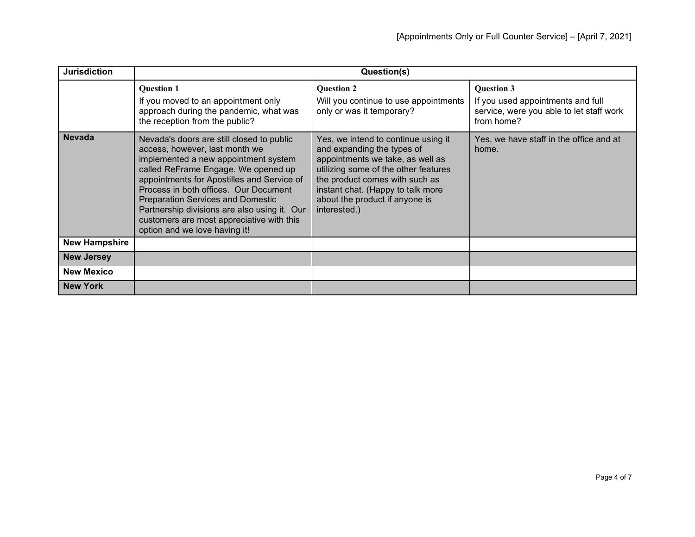| <b>Jurisdiction</b>  | Question(s)                                                                                                                                                                                                                                                                                                                                                                                                                 |                                                                                                                                                                                                                                                                        |                                                                                                                  |
|----------------------|-----------------------------------------------------------------------------------------------------------------------------------------------------------------------------------------------------------------------------------------------------------------------------------------------------------------------------------------------------------------------------------------------------------------------------|------------------------------------------------------------------------------------------------------------------------------------------------------------------------------------------------------------------------------------------------------------------------|------------------------------------------------------------------------------------------------------------------|
|                      | <b>Question 1</b><br>If you moved to an appointment only<br>approach during the pandemic, what was<br>the reception from the public?                                                                                                                                                                                                                                                                                        | <b>Question 2</b><br>Will you continue to use appointments<br>only or was it temporary?                                                                                                                                                                                | <b>Question 3</b><br>If you used appointments and full<br>service, were you able to let staff work<br>from home? |
| <b>Nevada</b>        | Nevada's doors are still closed to public<br>access, however, last month we<br>implemented a new appointment system<br>called ReFrame Engage. We opened up<br>appointments for Apostilles and Service of<br>Process in both offices. Our Document<br><b>Preparation Services and Domestic</b><br>Partnership divisions are also using it. Our<br>customers are most appreciative with this<br>option and we love having it! | Yes, we intend to continue using it<br>and expanding the types of<br>appointments we take, as well as<br>utilizing some of the other features<br>the product comes with such as<br>instant chat. (Happy to talk more<br>about the product if anyone is<br>interested.) | Yes, we have staff in the office and at<br>home.                                                                 |
| <b>New Hampshire</b> |                                                                                                                                                                                                                                                                                                                                                                                                                             |                                                                                                                                                                                                                                                                        |                                                                                                                  |
| <b>New Jersey</b>    |                                                                                                                                                                                                                                                                                                                                                                                                                             |                                                                                                                                                                                                                                                                        |                                                                                                                  |
| <b>New Mexico</b>    |                                                                                                                                                                                                                                                                                                                                                                                                                             |                                                                                                                                                                                                                                                                        |                                                                                                                  |
| <b>New York</b>      |                                                                                                                                                                                                                                                                                                                                                                                                                             |                                                                                                                                                                                                                                                                        |                                                                                                                  |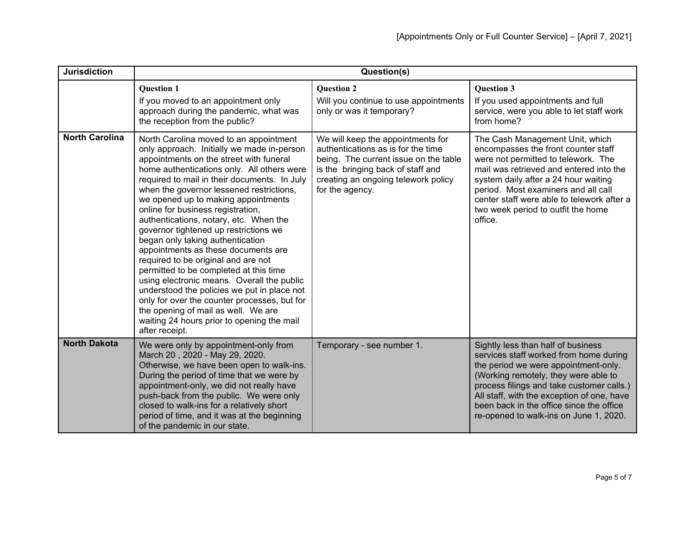| <b>Jurisdiction</b>   | Question(s)                                                                                                                                                                                                                                                                                                                                                                                                                                                                                                                                                                                                                                                                                                                                                                                                                                              |                                                                                                                                                                                                                 |                                                                                                                                                                                                                                                                                                                                               |
|-----------------------|----------------------------------------------------------------------------------------------------------------------------------------------------------------------------------------------------------------------------------------------------------------------------------------------------------------------------------------------------------------------------------------------------------------------------------------------------------------------------------------------------------------------------------------------------------------------------------------------------------------------------------------------------------------------------------------------------------------------------------------------------------------------------------------------------------------------------------------------------------|-----------------------------------------------------------------------------------------------------------------------------------------------------------------------------------------------------------------|-----------------------------------------------------------------------------------------------------------------------------------------------------------------------------------------------------------------------------------------------------------------------------------------------------------------------------------------------|
|                       | <b>Question 1</b><br>If you moved to an appointment only<br>approach during the pandemic, what was<br>the reception from the public?                                                                                                                                                                                                                                                                                                                                                                                                                                                                                                                                                                                                                                                                                                                     | <b>Question 2</b><br>Will you continue to use appointments<br>only or was it temporary?                                                                                                                         | <b>Question 3</b><br>If you used appointments and full<br>service, were you able to let staff work<br>from home?                                                                                                                                                                                                                              |
| <b>North Carolina</b> | North Carolina moved to an appointment<br>only approach. Initially we made in-person<br>appointments on the street with funeral<br>home authentications only. All others were<br>required to mail in their documents. In July<br>when the governor lessened restrictions,<br>we opened up to making appointments<br>online for business registration,<br>authentications, notary, etc. When the<br>governor tightened up restrictions we<br>began only taking authentication<br>appointments as these documents are<br>required to be original and are not<br>permitted to be completed at this time<br>using electronic means. Overall the public<br>understood the policies we put in place not<br>only for over the counter processes, but for<br>the opening of mail as well. We are<br>waiting 24 hours prior to opening the mail<br>after receipt. | We will keep the appointments for<br>authentications as is for the time<br>being. The current issue on the table<br>is the bringing back of staff and<br>creating an ongoing telework policy<br>for the agency. | The Cash Management Unit, which<br>encompasses the front counter staff<br>were not permitted to telework. The<br>mail was retrieved and entered into the<br>system daily after a 24 hour waiting<br>period. Most examiners and all call<br>center staff were able to telework after a<br>two week period to outfit the home<br>office.        |
| <b>North Dakota</b>   | We were only by appointment-only from<br>March 20, 2020 - May 29, 2020.<br>Otherwise, we have been open to walk-ins.<br>During the period of time that we were by<br>appointment-only, we did not really have<br>push-back from the public. We were only<br>closed to walk-ins for a relatively short<br>period of time, and it was at the beginning<br>of the pandemic in our state.                                                                                                                                                                                                                                                                                                                                                                                                                                                                    | Temporary - see number 1.                                                                                                                                                                                       | Sightly less than half of business<br>services staff worked from home during<br>the period we were appointment-only.<br>(Working remotely, they were able to<br>process filings and take customer calls.)<br>All staff, with the exception of one, have<br>been back in the office since the office<br>re-opened to walk-ins on June 1, 2020. |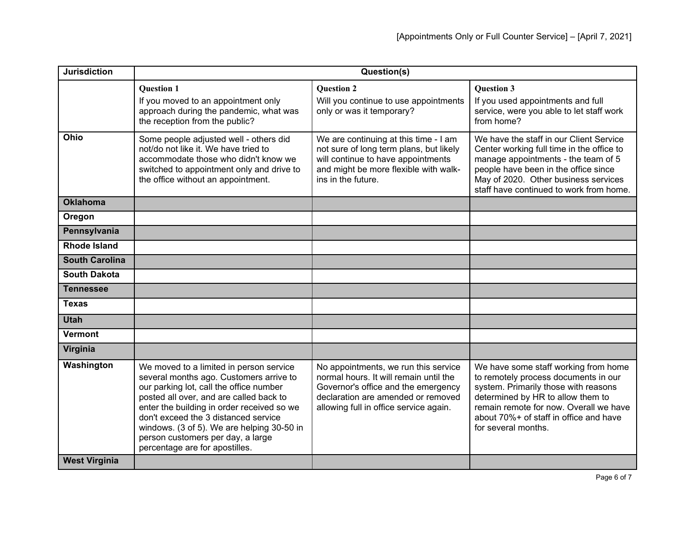| <b>Jurisdiction</b>   | Question(s)                                                                                                                                                                                                                                                                                                                                                                         |                                                                                                                                                                                                       |                                                                                                                                                                                                                                                                      |
|-----------------------|-------------------------------------------------------------------------------------------------------------------------------------------------------------------------------------------------------------------------------------------------------------------------------------------------------------------------------------------------------------------------------------|-------------------------------------------------------------------------------------------------------------------------------------------------------------------------------------------------------|----------------------------------------------------------------------------------------------------------------------------------------------------------------------------------------------------------------------------------------------------------------------|
|                       | <b>Ouestion 1</b><br>If you moved to an appointment only<br>approach during the pandemic, what was<br>the reception from the public?                                                                                                                                                                                                                                                | <b>Ouestion 2</b><br>Will you continue to use appointments<br>only or was it temporary?                                                                                                               | <b>Ouestion 3</b><br>If you used appointments and full<br>service, were you able to let staff work<br>from home?                                                                                                                                                     |
| Ohio                  | Some people adjusted well - others did<br>not/do not like it. We have tried to<br>accommodate those who didn't know we<br>switched to appointment only and drive to<br>the office without an appointment.                                                                                                                                                                           | We are continuing at this time - I am<br>not sure of long term plans, but likely<br>will continue to have appointments<br>and might be more flexible with walk-<br>ins in the future.                 | We have the staff in our Client Service<br>Center working full time in the office to<br>manage appointments - the team of 5<br>people have been in the office since<br>May of 2020. Other business services<br>staff have continued to work from home.               |
| <b>Oklahoma</b>       |                                                                                                                                                                                                                                                                                                                                                                                     |                                                                                                                                                                                                       |                                                                                                                                                                                                                                                                      |
| Oregon                |                                                                                                                                                                                                                                                                                                                                                                                     |                                                                                                                                                                                                       |                                                                                                                                                                                                                                                                      |
| Pennsylvania          |                                                                                                                                                                                                                                                                                                                                                                                     |                                                                                                                                                                                                       |                                                                                                                                                                                                                                                                      |
| <b>Rhode Island</b>   |                                                                                                                                                                                                                                                                                                                                                                                     |                                                                                                                                                                                                       |                                                                                                                                                                                                                                                                      |
| <b>South Carolina</b> |                                                                                                                                                                                                                                                                                                                                                                                     |                                                                                                                                                                                                       |                                                                                                                                                                                                                                                                      |
| <b>South Dakota</b>   |                                                                                                                                                                                                                                                                                                                                                                                     |                                                                                                                                                                                                       |                                                                                                                                                                                                                                                                      |
| <b>Tennessee</b>      |                                                                                                                                                                                                                                                                                                                                                                                     |                                                                                                                                                                                                       |                                                                                                                                                                                                                                                                      |
| <b>Texas</b>          |                                                                                                                                                                                                                                                                                                                                                                                     |                                                                                                                                                                                                       |                                                                                                                                                                                                                                                                      |
| <b>Utah</b>           |                                                                                                                                                                                                                                                                                                                                                                                     |                                                                                                                                                                                                       |                                                                                                                                                                                                                                                                      |
| <b>Vermont</b>        |                                                                                                                                                                                                                                                                                                                                                                                     |                                                                                                                                                                                                       |                                                                                                                                                                                                                                                                      |
| Virginia              |                                                                                                                                                                                                                                                                                                                                                                                     |                                                                                                                                                                                                       |                                                                                                                                                                                                                                                                      |
| Washington            | We moved to a limited in person service<br>several months ago. Customers arrive to<br>our parking lot, call the office number<br>posted all over, and are called back to<br>enter the building in order received so we<br>don't exceed the 3 distanced service<br>windows. (3 of 5). We are helping 30-50 in<br>person customers per day, a large<br>percentage are for apostilles. | No appointments, we run this service<br>normal hours. It will remain until the<br>Governor's office and the emergency<br>declaration are amended or removed<br>allowing full in office service again. | We have some staff working from home<br>to remotely process documents in our<br>system. Primarily those with reasons<br>determined by HR to allow them to<br>remain remote for now. Overall we have<br>about 70%+ of staff in office and have<br>for several months. |
| <b>West Virginia</b>  |                                                                                                                                                                                                                                                                                                                                                                                     |                                                                                                                                                                                                       |                                                                                                                                                                                                                                                                      |